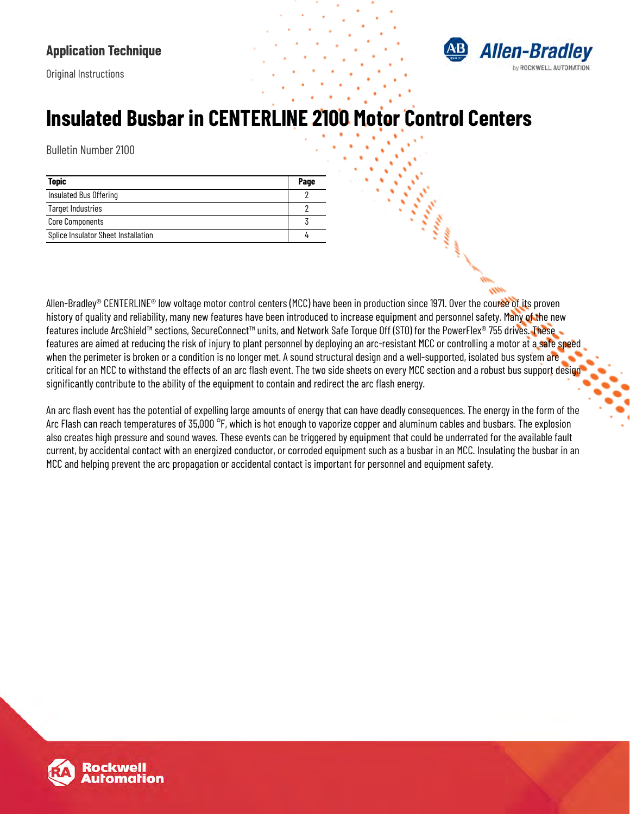#### **Application Technique**





# **Insulated Busbar in CENTERLINE 2100 Motor Control Centers**

Bulletin Number 2100

| <b>Topic</b>                        | Page |
|-------------------------------------|------|
| Insulated Bus Offering              |      |
| <b>Target Industries</b>            |      |
| <b>Core Components</b>              |      |
| Splice Insulator Sheet Installation |      |

Allen-Bradley® CENTERLINE® low voltage motor control centers (MCC) have been in production since 1971. Over the course of its proven history of quality and reliability, many new features have been introduced to increase equipment and personnel safety. Many of the new features include ArcShield™ sections, SecureConnect™ units, and Network Safe Torque Off (STO) for the PowerFlex® 755 drives. These features are aimed at reducing the risk of injury to plant personnel by deploying an arc-resistant MCC or controlling a motor at a safe speed when the perimeter is broken or a condition is no longer met. A sound structural design and a well-supported, isolated bus system are critical for an MCC to withstand the effects of an arc flash event. The two side sheets on every MCC section and a robust bus support design significantly contribute to the ability of the equipment to contain and redirect the arc flash energy.

An arc flash event has the potential of expelling large amounts of energy that can have deadly consequences. The energy in the form of the Arc Flash can reach temperatures of 35,000 °F, which is hot enough to vaporize copper and aluminum cables and busbars. The explosion also creates high pressure and sound waves. These events can be triggered by equipment that could be underrated for the available fault current, by accidental contact with an energized conductor, or corroded equipment such as a busbar in an MCC. Insulating the busbar in an MCC and helping prevent the arc propagation or accidental contact is important for personnel and equipment safety.

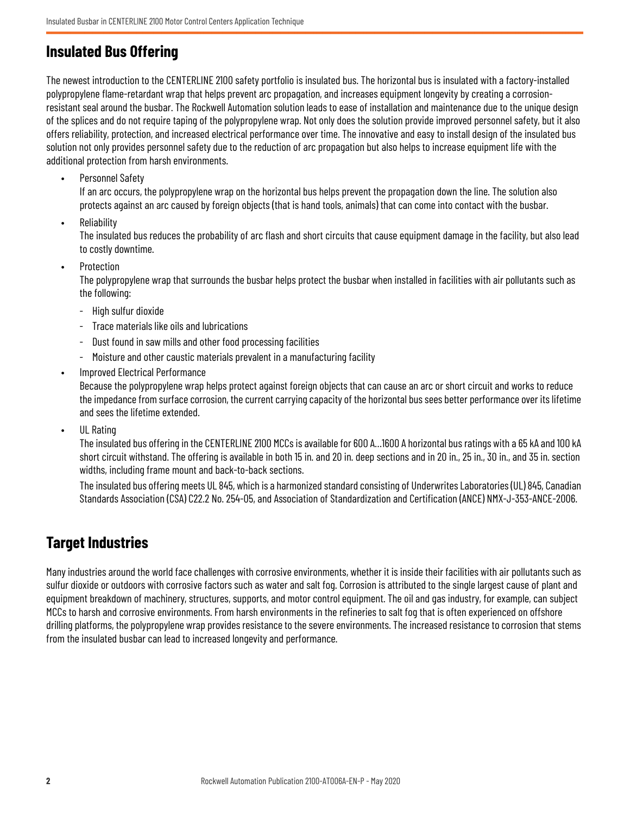#### <span id="page-1-0"></span>**Insulated Bus Offering**

The newest introduction to the CENTERLINE 2100 safety portfolio is insulated bus. The horizontal bus is insulated with a factory-installed polypropylene flame-retardant wrap that helps prevent arc propagation, and increases equipment longevity by creating a corrosionresistant seal around the busbar. The Rockwell Automation solution leads to ease of installation and maintenance due to the unique design of the splices and do not require taping of the polypropylene wrap. Not only does the solution provide improved personnel safety, but it also offers reliability, protection, and increased electrical performance over time. The innovative and easy to install design of the insulated bus solution not only provides personnel safety due to the reduction of arc propagation but also helps to increase equipment life with the additional protection from harsh environments.

• Personnel Safety

If an arc occurs, the polypropylene wrap on the horizontal bus helps prevent the propagation down the line. The solution also protects against an arc caused by foreign objects (that is hand tools, animals) that can come into contact with the busbar.

• Reliability

The insulated bus reduces the probability of arc flash and short circuits that cause equipment damage in the facility, but also lead to costly downtime.

• Protection

The polypropylene wrap that surrounds the busbar helps protect the busbar when installed in facilities with air pollutants such as the following:

- High sulfur dioxide
- Trace materials like oils and lubrications
- Dust found in saw mills and other food processing facilities
- Moisture and other caustic materials prevalent in a manufacturing facility
- Improved Electrical Performance

Because the polypropylene wrap helps protect against foreign objects that can cause an arc or short circuit and works to reduce the impedance from surface corrosion, the current carrying capacity of the horizontal bus sees better performance over its lifetime and sees the lifetime extended.

UL Rating

The insulated bus offering in the CENTERLINE 2100 MCCs is available for 600 A…1600 A horizontal bus ratings with a 65 kA and 100 kA short circuit withstand. The offering is available in both 15 in. and 20 in. deep sections and in 20 in., 25 in., 30 in., and 35 in. section widths, including frame mount and back-to-back sections.

The insulated bus offering meets UL 845, which is a harmonized standard consisting of Underwrites Laboratories (UL) 845, Canadian Standards Association (CSA) C22.2 No. 254-05, and Association of Standardization and Certification (ANCE) NMX-J-353-ANCE-2006.

#### <span id="page-1-1"></span>**Target Industries**

Many industries around the world face challenges with corrosive environments, whether it is inside their facilities with air pollutants such as sulfur dioxide or outdoors with corrosive factors such as water and salt fog. Corrosion is attributed to the single largest cause of plant and equipment breakdown of machinery, structures, supports, and motor control equipment. The oil and gas industry, for example, can subject MCCs to harsh and corrosive environments. From harsh environments in the refineries to salt fog that is often experienced on offshore drilling platforms, the polypropylene wrap provides resistance to the severe environments. The increased resistance to corrosion that stems from the insulated busbar can lead to increased longevity and performance.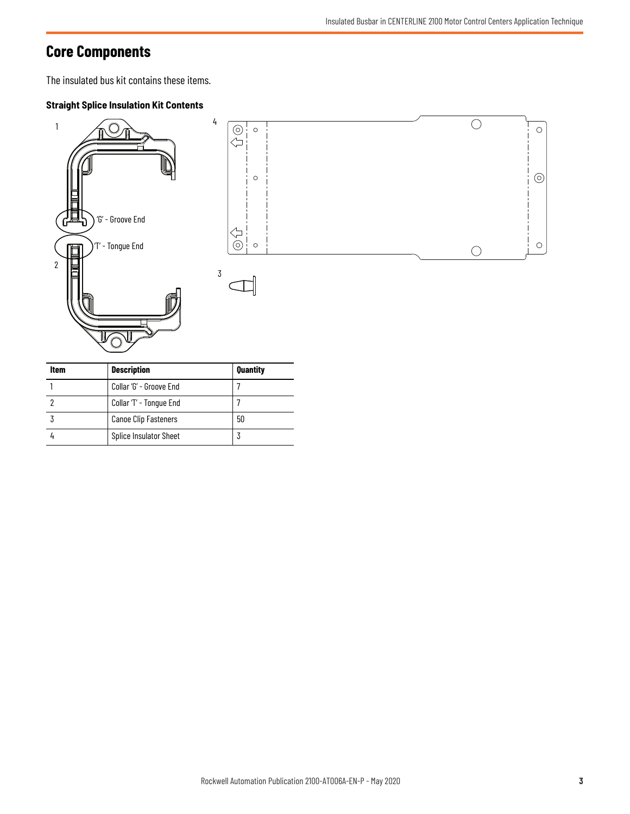## <span id="page-2-0"></span>**Core Components**

The insulated bus kit contains these items.

#### **Straight Splice Insulation Kit Contents**



| Item | <b>Description</b>            | Quantity |
|------|-------------------------------|----------|
|      | Collar 'G' - Groove End       |          |
|      | Collar 'T' - Tongue End       |          |
|      | <b>Canoe Clip Fasteners</b>   | 50       |
|      | <b>Splice Insulator Sheet</b> |          |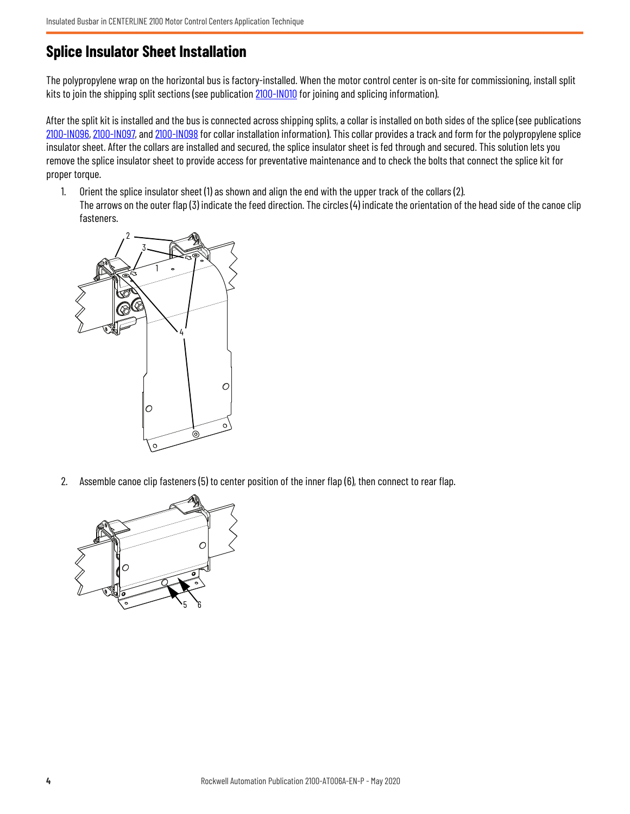#### <span id="page-3-0"></span>**Splice Insulator Sheet Installation**

The polypropylene wrap on the horizontal bus is factory-installed. When the motor control center is on-site for commissioning, install split kits to join the shipping split sections (see publication [2100-IN010](https://literature.rockwellautomation.com/idc/groups/literature/documents/in/2100-in010_-en-p.pdf) for joining and splicing information).

After the split kit is installed and the bus is connected across shipping splits, a collar is installed on both sides of the splice (see publications [2100-IN096,](https://literature.rockwellautomation.com/idc/groups/literature/documents/in/2100-in096_-en-p.pdf) [2100-IN097](http://literature.rockwellautomation.com/idc/groups/literature/documents/in/2100-in097_-en-e.pdf ), and [2100-IN098](http://literature.rockwellautomation.com/idc/groups/literature/documents/in/2100-in098_-en-e.pdf) for collar installation information). This collar provides a track and form for the polypropylene splice insulator sheet. After the collars are installed and secured, the splice insulator sheet is fed through and secured. This solution lets you remove the splice insulator sheet to provide access for preventative maintenance and to check the bolts that connect the splice kit for proper torque.

1. Orient the splice insulator sheet (1) as shown and align the end with the upper track of the collars (2). The arrows on the outer flap (3) indicate the feed direction. The circles (4) indicate the orientation of the head side of the canoe clip fasteners.



2. Assemble canoe clip fasteners (5) to center position of the inner flap (6), then connect to rear flap.

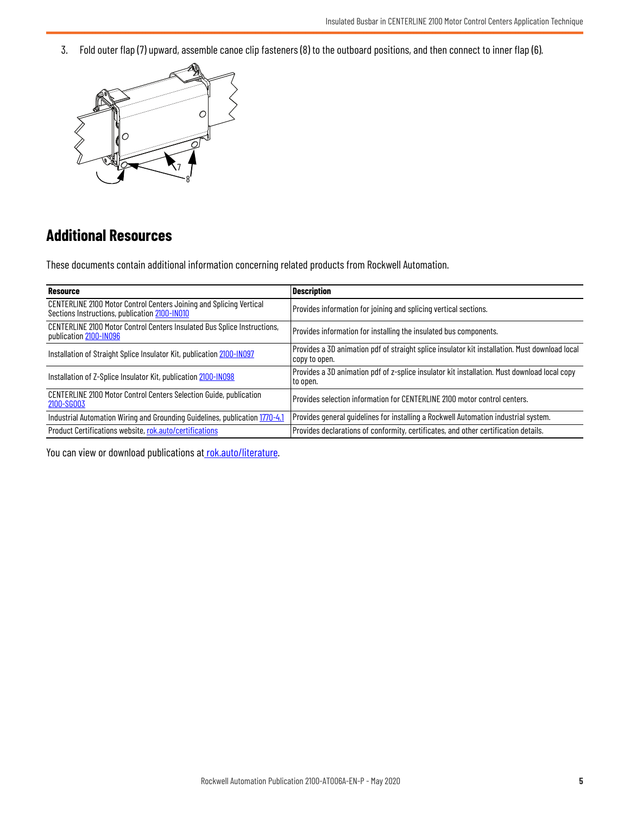3. Fold outer flap (7) upward, assemble canoe clip fasteners (8) to the outboard positions, and then connect to inner flap (6).



### **Additional Resources**

These documents contain additional information concerning related products from Rockwell Automation.

| <b>Resource</b>                                                                                                      | <b>Description</b>                                                                                              |
|----------------------------------------------------------------------------------------------------------------------|-----------------------------------------------------------------------------------------------------------------|
| CENTERLINE 2100 Motor Control Centers Joining and Splicing Vertical<br>Sections Instructions, publication 2100-IN010 | Provides information for joining and splicing vertical sections.                                                |
| CENTERLINE 2100 Motor Control Centers Insulated Bus Splice Instructions,<br>publication 2100-IN096                   | Provides information for installing the insulated bus components.                                               |
| Installation of Straight Splice Insulator Kit, publication 2100-IN097                                                | Provides a 3D animation pdf of straight splice insulator kit installation. Must download local<br>copy to open. |
| Installation of Z-Splice Insulator Kit, publication 2100-IN098                                                       | Provides a 3D animation pdf of z-splice insulator kit installation. Must download local copy<br>to open.        |
| CENTERLINE 2100 Motor Control Centers Selection Guide, publication<br>2100-SG003                                     | Provides selection information for CENTERLINE 2100 motor control centers.                                       |
| Industrial Automation Wiring and Grounding Guidelines, publication 1770-4.1                                          | Provides general quidelines for installing a Rockwell Automation industrial system.                             |
| Product Certifications website, rok.auto/certifications                                                              | Provides declarations of conformity, certificates, and other certification details.                             |

You can view or download publications at [rok.auto/literature](www.rockwellautomation.com/literature).